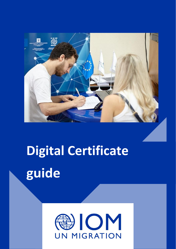

# **Digital Certificate guide**

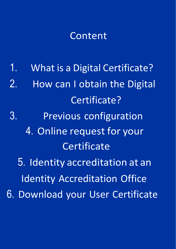## Content

1. What is a Digital Certificate? 2. How can I obtain the Digital Certificate? 3. Previous configuration 4. Online request for your **Certificate** 5. Identity accreditation at an Identity Accreditation Office 6. Download your User Certificate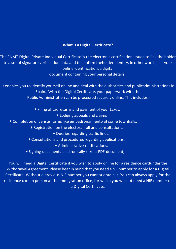#### **What is a Digital Certificate?**

The FNMT Digital Private Individual Certificate is the electronic certification issued to link the holder to a set of signature verification data and to confirm theholder identity. In other words, it is your online identification, a digital document containing your personal details.

It enables you to identify yourself online and deal with the authorities and publicadministrations in Spain. With the Digital Certificate, your paperwork with the Public Administration can be processed securely online. This includes:

- **•** Filing of tax returns and payment of your taxes.
	- **•** Lodging appeals and claims
- **•** Completion of census forms like empadronamiento at some townhalls.
	- **•** Registration on the electoral roll and consultations.
		- **•** Queries regarding traffic fines.
	- **•** Consultations and procedures regarding applications.
		- **•** Administrative notifications.
	- **•** Signing documents electronically (like a PDF document).

You will need a Digital Certificate if you wish to apply online for a residence cardunder the Withdrawal Agreement. Please bear in mind that you need a NIEnumber to apply for a Digital Certificate. Without a previous NIE number you cannot obtain it. You can always apply for the residence card in person at the Immigration office, for which you will not need a NIE number or a Digital Certificate.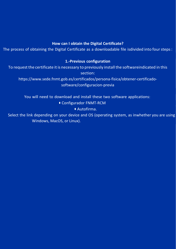#### **How can I obtain the Digital Certificate?**

The process of obtaining the Digital Certificate as a downloadable file isdivided into foursteps:

#### **1.-Previous configuration**

To request the certificate it is necessary to previously install the softwareindicated in this section:

[https://www.sede.fnmt.gob.es/certificados/persona-fisica/obtener-c](http://www.sede.fnmt.gob.es/certificados/persona-fisica/obtener-)ertificadosoftware/configuracion-previa

You will need to download and install these two software applications:

#### **•** Configurador FNMT-RCM

**•** Autofirma.

Select the link depending on your device and OS (operating system, as inwhether you are using Windows, MacOS, or Linux).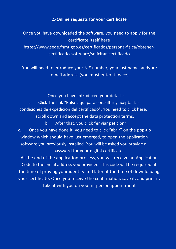#### 2.-**Online requests for your Certificate**

Once you have downloaded the software, you need to apply for the certificate itself here [https://www.sede.fnmt.gob.es/certificados/persona-fisica/obtener](https://www.sede.fnmt.gob.es/certificados/persona-fisica/obtener-certificado-software/solicitar-certificado)[certificado-software/solicitar-certificado](https://www.sede.fnmt.gob.es/certificados/persona-fisica/obtener-certificado-software/solicitar-certificado)

You will need to introduce your NIE number, your last name, andyour email address (you must enter it twice)

Once you have introduced your details:

a. Click The link "Pulse aquí para consultar y aceptar las condiciones de expedición del certificado". You need to click here, scroll down and accept the data protection terms.

b. After that, you click "enviar peticion".

c. Once you have done it, you need to click "abrir" on the pop-up window which should have just emerged, to open the application software you previously installed. You will be asked you provide a password for your digital certificate.

At the end of the application process, you will receive an Application Code to the email address you provided. This code will be required at the time of proving your identity and later at the time of downloading your certificate. Once you receive the confirmation, save it, and print it. Take it with you on your in-personappointment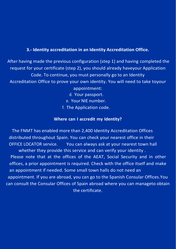### **3.- Identity accreditation in an Identity Accreditation Office.**

After having made the previous configuration (step 1) and having completed the request for your certificate (step 2), you should already haveyour Application Code. To continue, you must personally go to an Identity Accreditation Office to prove your own identity. You will need to take toyour appointment: d. Your passport. e. Your NIE number.

f. The Application code.

#### **Where can I accredit my Identity?**

The FNMT has enabled more than 2,400 Identity Accreditation Offices distributed throughout Spain. You can check your nearest office in their OFFICE LOCATOR service. You can always ask at your nearest town hall whether they provide this service and can verify your identity . Please note that at the offices of the AEAT, Social Security and in other offices, a prior appointment is required. Check with the office itself and make an appointment if needed. Some small town halls do not need an appointment. If you are abroad, you can go to the Spanish Consular Offices.You can consult the Consular Offices of Spain abroad where you can manageto obtain the certificate.